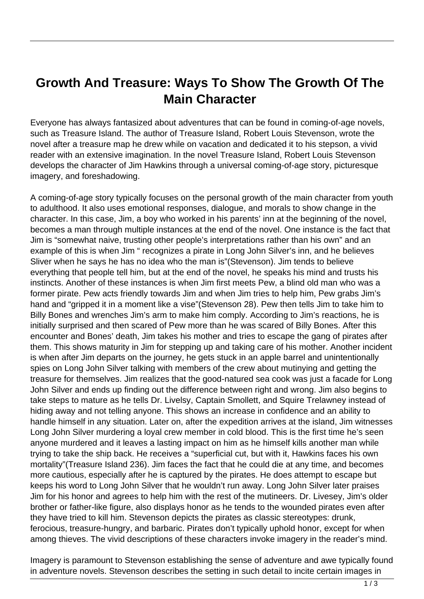## **Growth And Treasure: Ways To Show The Growth Of The Main Character**

Everyone has always fantasized about adventures that can be found in coming-of-age novels, such as Treasure Island. The author of Treasure Island, Robert Louis Stevenson, wrote the novel after a treasure map he drew while on vacation and dedicated it to his stepson, a vivid reader with an extensive imagination. In the novel Treasure Island, Robert Louis Stevenson develops the character of Jim Hawkins through a universal coming-of-age story, picturesque imagery, and foreshadowing.

A coming-of-age story typically focuses on the personal growth of the main character from youth to adulthood. It also uses emotional responses, dialogue, and morals to show change in the character. In this case, Jim, a boy who worked in his parents' inn at the beginning of the novel, becomes a man through multiple instances at the end of the novel. One instance is the fact that Jim is "somewhat naive, trusting other people's interpretations rather than his own" and an example of this is when Jim " recognizes a pirate in Long John Silver's inn, and he believes Sliver when he says he has no idea who the man is"(Stevenson). Jim tends to believe everything that people tell him, but at the end of the novel, he speaks his mind and trusts his instincts. Another of these instances is when Jim first meets Pew, a blind old man who was a former pirate. Pew acts friendly towards Jim and when Jim tries to help him, Pew grabs Jim's hand and "gripped it in a moment like a vise"(Stevenson 28). Pew then tells Jim to take him to Billy Bones and wrenches Jim's arm to make him comply. According to Jim's reactions, he is initially surprised and then scared of Pew more than he was scared of Billy Bones. After this encounter and Bones' death, Jim takes his mother and tries to escape the gang of pirates after them. This shows maturity in Jim for stepping up and taking care of his mother. Another incident is when after Jim departs on the journey, he gets stuck in an apple barrel and unintentionally spies on Long John Silver talking with members of the crew about mutinying and getting the treasure for themselves. Jim realizes that the good-natured sea cook was just a facade for Long John Silver and ends up finding out the difference between right and wrong. Jim also begins to take steps to mature as he tells Dr. Livelsy, Captain Smollett, and Squire Trelawney instead of hiding away and not telling anyone. This shows an increase in confidence and an ability to handle himself in any situation. Later on, after the expedition arrives at the island, Jim witnesses Long John Silver murdering a loyal crew member in cold blood. This is the first time he's seen anyone murdered and it leaves a lasting impact on him as he himself kills another man while trying to take the ship back. He receives a "superficial cut, but with it, Hawkins faces his own mortality"(Treasure Island 236). Jim faces the fact that he could die at any time, and becomes more cautious, especially after he is captured by the pirates. He does attempt to escape but keeps his word to Long John Silver that he wouldn't run away. Long John Silver later praises Jim for his honor and agrees to help him with the rest of the mutineers. Dr. Livesey, Jim's older brother or father-like figure, also displays honor as he tends to the wounded pirates even after they have tried to kill him. Stevenson depicts the pirates as classic stereotypes: drunk, ferocious, treasure-hungry, and barbaric. Pirates don't typically uphold honor, except for when among thieves. The vivid descriptions of these characters invoke imagery in the reader's mind.

Imagery is paramount to Stevenson establishing the sense of adventure and awe typically found in adventure novels. Stevenson describes the setting in such detail to incite certain images in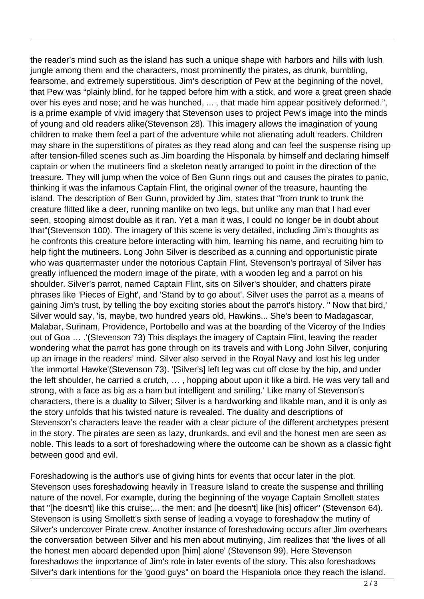the reader's mind such as the island has such a unique shape with harbors and hills with lush jungle among them and the characters, most prominently the pirates, as drunk, bumbling, fearsome, and extremely superstitious. Jim's description of Pew at the beginning of the novel, that Pew was "plainly blind, for he tapped before him with a stick, and wore a great green shade over his eyes and nose; and he was hunched, ... , that made him appear positively deformed.", is a prime example of vivid imagery that Stevenson uses to project Pew's image into the minds of young and old readers alike(Stevenson 28). This imagery allows the imagination of young children to make them feel a part of the adventure while not alienating adult readers. Children may share in the superstitions of pirates as they read along and can feel the suspense rising up after tension-filled scenes such as Jim boarding the Hisponala by himself and declaring himself captain or when the mutineers find a skeleton neatly arranged to point in the direction of the treasure. They will jump when the voice of Ben Gunn rings out and causes the pirates to panic, thinking it was the infamous Captain Flint, the original owner of the treasure, haunting the island. The description of Ben Gunn, provided by Jim, states that "from trunk to trunk the creature flitted like a deer, running manlike on two legs, but unlike any man that I had ever seen, stooping almost double as it ran. Yet a man it was, I could no longer be in doubt about that"(Stevenson 100). The imagery of this scene is very detailed, including Jim's thoughts as he confronts this creature before interacting with him, learning his name, and recruiting him to help fight the mutineers. Long John Silver is described as a cunning and opportunistic pirate who was quartermaster under the notorious Captain Flint. Stevenson's portrayal of Silver has greatly influenced the modern image of the pirate, with a wooden leg and a parrot on his shoulder. Silver's parrot, named Captain Flint, sits on Silver's shoulder, and chatters pirate phrases like 'Pieces of Eight', and 'Stand by to go about'. Silver uses the parrot as a means of gaining Jim's trust, by telling the boy exciting stories about the parrot's history. '' Now that bird,' Silver would say, 'is, maybe, two hundred years old, Hawkins... She's been to Madagascar, Malabar, Surinam, Providence, Portobello and was at the boarding of the Viceroy of the Indies out of Goa … .'(Stevenson 73) This displays the imagery of Captain Flint, leaving the reader wondering what the parrot has gone through on its travels and with Long John Silver, conjuring up an image in the readers' mind. Silver also served in the Royal Navy and lost his leg under 'the immortal Hawke'(Stevenson 73). '[Silver's] left leg was cut off close by the hip, and under the left shoulder, he carried a crutch, … , hopping about upon it like a bird. He was very tall and strong, with a face as big as a ham but intelligent and smiling.' Like many of Stevenson's characters, there is a duality to Silver; Silver is a hardworking and likable man, and it is only as the story unfolds that his twisted nature is revealed. The duality and descriptions of Stevenson's characters leave the reader with a clear picture of the different archetypes present in the story. The pirates are seen as lazy, drunkards, and evil and the honest men are seen as noble. This leads to a sort of foreshadowing where the outcome can be shown as a classic fight between good and evil.

Foreshadowing is the author's use of giving hints for events that occur later in the plot. Stevenson uses foreshadowing heavily in Treasure Island to create the suspense and thrilling nature of the novel. For example, during the beginning of the voyage Captain Smollett states that ''[he doesn't] like this cruise;... the men; and [he doesn't] like [his] officer'' (Stevenson 64). Stevenson is using Smollett's sixth sense of leading a voyage to foreshadow the mutiny of Silver's undercover Pirate crew. Another instance of foreshadowing occurs after Jim overhears the conversation between Silver and his men about mutinying, Jim realizes that 'the lives of all the honest men aboard depended upon [him] alone' (Stevenson 99). Here Stevenson foreshadows the importance of Jim's role in later events of the story. This also foreshadows Silver's dark intentions for the 'good guys" on board the Hispaniola once they reach the island.